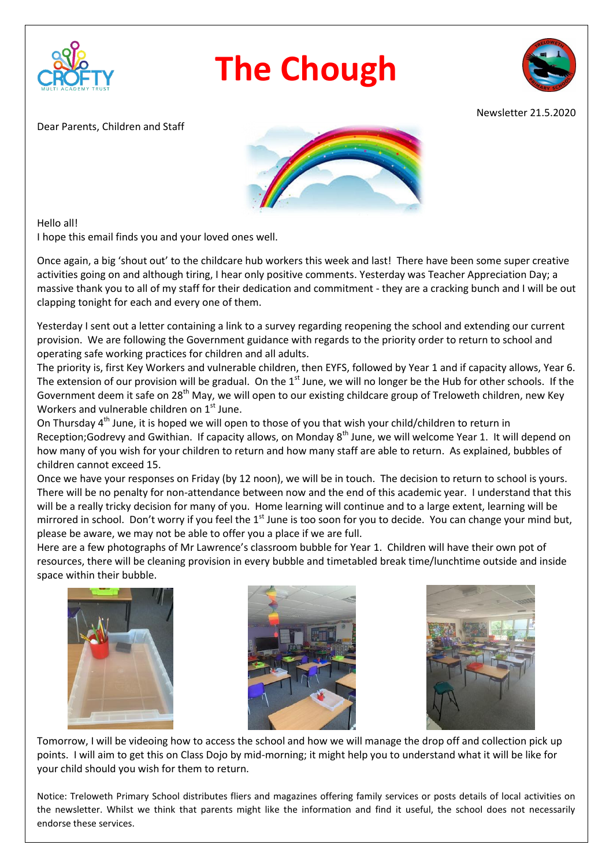

## **The Chough**



Newsletter 21.5.2020

Dear Parents, Children and Staff



Hello all!

I hope this email finds you and your loved ones well.

Once again, a big 'shout out' to the childcare hub workers this week and last! There have been some super creative activities going on and although tiring, I hear only positive comments. Yesterday was Teacher Appreciation Day; a massive thank you to all of my staff for their dedication and commitment - they are a cracking bunch and I will be out clapping tonight for each and every one of them.

Yesterday I sent out a letter containing a link to a survey regarding reopening the school and extending our current provision. We are following the Government guidance with regards to the priority order to return to school and operating safe working practices for children and all adults.

The priority is, first Key Workers and vulnerable children, then EYFS, followed by Year 1 and if capacity allows, Year 6. The extension of our provision will be gradual. On the  $1<sup>st</sup>$  June, we will no longer be the Hub for other schools. If the Government deem it safe on 28<sup>th</sup> May, we will open to our existing childcare group of Treloweth children, new Key Workers and vulnerable children on 1<sup>st</sup> June.

On Thursday 4<sup>th</sup> June, it is hoped we will open to those of you that wish your child/children to return in Reception;Godrevy and Gwithian. If capacity allows, on Monday 8<sup>th</sup> June, we will welcome Year 1. It will depend on how many of you wish for your children to return and how many staff are able to return. As explained, bubbles of children cannot exceed 15.

Once we have your responses on Friday (by 12 noon), we will be in touch. The decision to return to school is yours. There will be no penalty for non-attendance between now and the end of this academic year. I understand that this will be a really tricky decision for many of you. Home learning will continue and to a large extent, learning will be mirrored in school. Don't worry if you feel the  $1<sup>st</sup>$  June is too soon for you to decide. You can change your mind but, please be aware, we may not be able to offer you a place if we are full.

Here are a few photographs of Mr Lawrence's classroom bubble for Year 1. Children will have their own pot of resources, there will be cleaning provision in every bubble and timetabled break time/lunchtime outside and inside space within their bubble.







Tomorrow, I will be videoing how to access the school and how we will manage the drop off and collection pick up points. I will aim to get this on Class Dojo by mid-morning; it might help you to understand what it will be like for your child should you wish for them to return.

Notice: Treloweth Primary School distributes fliers and magazines offering family services or posts details of local activities on the newsletter. Whilst we think that parents might like the information and find it useful, the school does not necessarily endorse these services.